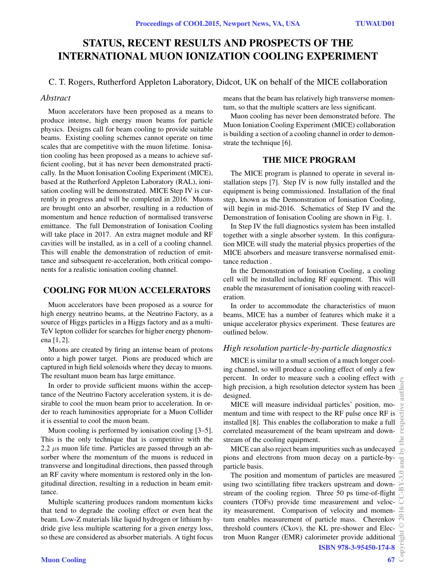# STATUS, RECENT RESULTS AND PROSPECTS OF THE INTERNATIONAL MUON IONIZATION COOLING EXPERIMENT

# C. T. Rogers, Rutherford Appleton Laboratory, Didcot, UK on behalf of the MICE collaboration

# *Abstract*

Muon accelerators have been proposed as a means to produce intense, high energy muon beams for particle physics. Designs call for beam cooling to provide suitable beams. Existing cooling schemes cannot operate on time scales that are competitive with the muon lifetime. Ionisation cooling has been proposed as a means to achieve sufficient cooling, but it has never been demonstrated practically. In the Muon Ionisation Cooling Experiment (MICE), based at the Rutherford Appleton Laboratory (RAL), ionisation cooling will be demonstrated. MICE Step IV is currently in progress and will be completed in 2016. Muons are brought onto an absorber, resulting in a reduction of momentum and hence reduction of normalised transverse emittance. The full Demonstration of Ionisation Cooling will take place in 2017. An extra magnet module and RF cavities will be installed, as in a cell of a cooling channel. This will enable the demonstration of reduction of emittance and subsequent re-acceleration, both critical components for a realistic ionisation cooling channel.

# COOLING FOR MUON ACCELERATORS

Muon accelerators have been proposed as a source for high energy neutrino beams, at the Neutrino Factory, as a source of Higgs particles in a Higgs factory and as a multi-TeV lepton collider for searches for higher energy phenomena [1, 2].

Muons are created by firing an intense beam of protons onto a high power target. Pions are produced which are captured in high field solenoids where they decay to muons. The resultant muon beam has large emittance.

In order to provide sufficient muons within the acceptance of the Neutrino Factory acceleration system, it is desirable to cool the muon beam prior to acceleration. In order to reach luminosities appropriate for a Muon Collider it is essential to cool the muon beam.

Muon cooling is performed by ionisation cooling [3–5]. This is the only technique that is competitive with the 2.2  $\mu$ s muon life time. Particles are passed through an absorber where the momentum of the muons is reduced in transverse and longitudinal directions, then passed through an RF cavity where momentum is restored only in the longitudinal direction, resulting in a reduction in beam emittance.

Multiple scattering produces random momentum kicks that tend to degrade the cooling effect or even heat the beam. Low-Z materials like liquid hydrogen or lithium hydride give less multiple scattering for a given energy loss, so these are considered as absorber materials. A tight focus means that the beam has relatively high transverse momentum, so that the multiple scatters are less significant.

Muon cooling has never been demonstrated before. The Muon Ioniation Cooling Experiment (MICE) collaboration is building a section of a cooling channel in order to demonstrate the technique [6].

### THE MICE PROGRAM

The MICE program is planned to operate in several installation steps [7]. Step IV is now fully installed and the equipment is being commissioned. Installation of the final step, known as the Demonstration of Ionisation Cooling, will begin in mid-2016. Schematics of Step IV and the Demonstration of Ionisation Cooling are shown in Fig. 1.

In Step IV the full diagnostics system has been installed together with a single absorber system. In this configuration MICE will study the material physics properties of the MICE absorbers and measure transverse normalised emittance reduction .

In the Demonstration of Ionisation Cooling, a cooling cell will be installed including RF equipment. This will enable the measurement of ionisation cooling with reacceleration.

In order to accommodate the characteristics of muon beams, MICE has a number of features which make it a unique accelerator physics experiment. These features are outlined below.

# *High resolution particle-by-particle diagnostics*

MICE is similar to a small section of a much longer cooling channel, so will produce a cooling effect of only a few percent. In order to measure such a cooling effect with high precision, a high resolution detector system has been designed.

MICE will measure individual particles' position, momentum and time with respect to the RF pulse once RF is installed [8]. This enables the collaboration to make a full correlated measurement of the beam upstream and downstream of the cooling equipment.

MICE can also reject beam impurities such as undecayed pions and electrons from muon decay on a particle-byparticle basis.

The position and momentum of particles are measured using two scintillating fibre trackers upstream and downstream of the cooling region. Three 50 ps time-of-flight counters (TOFs) provide time measurement and velocity measurement. Comparison of velocity and momentum enables measurement of particle mass. Cherenkov threshold counters (Ckov), the KL pre-shower and Electron Muon Ranger (EMR) calorimeter provide additional ISBN 978-3-95450-174-8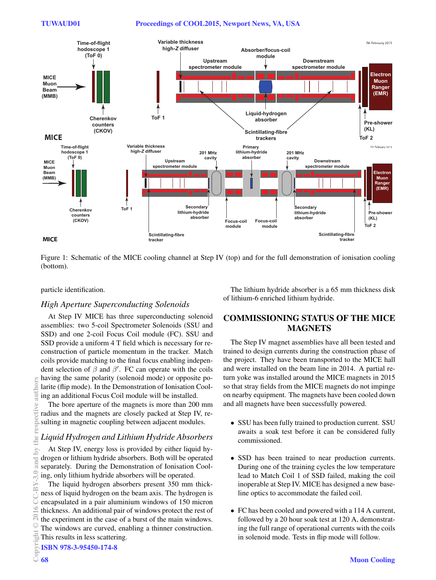### Proceedings of COOL2015, Newport News, VA, USA



Figure 1: Schematic of the MICE cooling channel at Step IV (top) and for the full demonstration of ionisation cooling (bottom).

#### particle identification.

### **High Aperture Superconducting Solenoids**

At Step IV MICE has three superconducting solenoid assemblies: two 5-coil Spectrometer Solenoids (SSU and SSD) and one 2-coil Focus Coil module (FC). SSU and SSD provide a uniform 4 T field which is necessary for reconstruction of particle momentum in the tracker. Match coils provide matching to the final focus enabling independent selection of  $\beta$  and  $\beta'$ . FC can operate with the coils having the same polarity (solenoid mode) or opposite polarite (flip mode). In the Demonstration of Ionisation Cooling an additional Focus Coil module will be installed.

The bore aperture of the magnets is more than 200 mm radius and the magnets are closely packed at Step IV, resulting in magnetic coupling between adjacent modules.

# Liquid Hydrogen and Lithium Hydride Absorbers

At Step IV, energy loss is provided by either liquid hydrogen or lithium hydride absorbers. Both will be operated separately. During the Demonstration of Ionisation Cooling, only lithium hydride absorbers will be operated.

The liquid hydrogen absorbers present 350 mm thickness of liquid hydrogen on the beam axis. The hydrogen is encapsulated in a pair aluminium windows of 150 micron thickness. An additional pair of windows protect the rest of the experiment in the case of a burst of the main windows. The windows are curved, enabling a thinner construction. This results in less scattering.

The lithium hydride absorber is a 65 mm thickness disk of lithium-6 enriched lithium hydride.

# **COMMISSIONING STATUS OF THE MICE MAGNETS**

The Step IV magnet assemblies have all been tested and trained to design currents during the construction phase of the project. They have been transported to the MICE hall and were installed on the beam line in 2014. A partial return yoke was installed around the MICE magnets in 2015 so that stray fields from the MICE magnets do not impinge on nearby equipment. The magnets have been cooled down and all magnets have been successfully powered.

- SSU has been fully trained to production current. SSU awaits a soak test before it can be considered fully commissioned.
- SSD has been trained to near production currents. During one of the training cycles the low temperature lead to Match Coil 1 of SSD failed, making the coil inoperable at Step IV. MICE has designed a new baseline optics to accommodate the failed coil.
- FC has been cooled and powered with a 114 A current, followed by a 20 hour soak test at 120 A, demonstrating the full range of operational currents with the coils in solenoid mode. Tests in flip mode will follow.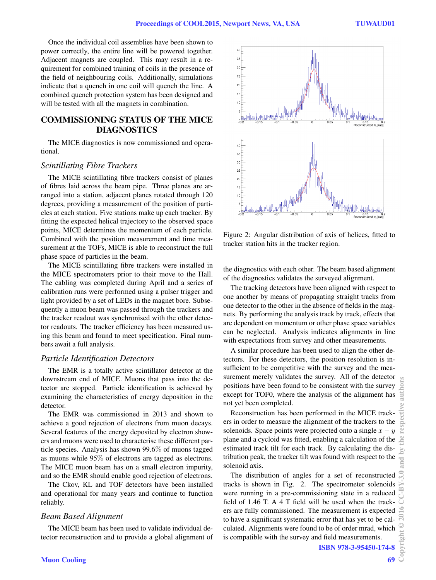Once the individual coil assemblies have been shown to power correctly, the entire line will be powered together. Adjacent magnets are coupled. This may result in a requirement for combined training of coils in the presence of the field of neighbouring coils. Additionally, simulations indicate that a quench in one coil will quench the line. A combined quench protection system has been designed and will be tested with all the magnets in combination.

# COMMISSIONING STATUS OF THE MICE DIAGNOSTICS

The MICE diagnostics is now commissioned and operational.

#### *Scintillating Fibre Trackers*

The MICE scintillating fibre trackers consist of planes of fibres laid across the beam pipe. Three planes are arranged into a station, adjacent planes rotated through 120 degrees, providing a measurement of the position of particles at each station. Five stations make up each tracker. By fitting the expected helical trajectory to the observed space points, MICE determines the momentum of each particle. Combined with the position measurement and time measurement at the TOFs, MICE is able to reconstruct the full phase space of particles in the beam.

The MICE scintillating fibre trackers were installed in the MICE spectrometers prior to their move to the Hall. The cabling was completed during April and a series of calibration runs were performed using a pulser trigger and light provided by a set of LEDs in the magnet bore. Subsequently a muon beam was passed through the trackers and the tracker readout was synchronised with the other detector readouts. The tracker efficiency has been measured using this beam and found to meet specification. Final numbers await a full analysis.

#### *Particle Identification Detectors*

The EMR is a totally active scintillator detector at the downstream end of MICE. Muons that pass into the detector are stopped. Particle identification is achieved by examining the characteristics of energy deposition in the detector.

The EMR was commissioned in 2013 and shown to achieve a good rejection of electrons from muon decays. Several features of the energy deposited by electron showers and muons were used to characterise these different particle species. Analysis has shown 99.6% of muons tagged as muons while 95% of electrons are tagged as electrons. The MICE muon beam has on a small electron impurity, and so the EMR should enable good rejection of electrons.

The Ckov, KL and TOF detectors have been installed and operational for many years and continue to function reliably.

### *Beam Based Alignment*

The MICE beam has been used to validate individual detector reconstruction and to provide a global alignment of



Figure 2: Angular distribution of axis of helices, fitted to tracker station hits in the tracker region.

the diagnostics with each other. The beam based alignment of the diagnostics validates the surveyed alignment.

The tracking detectors have been aligned with respect to one another by means of propagating straight tracks from one detector to the other in the absence of fields in the magnets. By performing the analysis track by track, effects that are dependent on momentum or other phase space variables can be neglected. Analysis indicates alignments in line with expectations from survey and other measurements.

A similar procedure has been used to align the other detectors. For these detectors, the position resolution is insufficient to be competitive with the survey and the measurement merely validates the survey. All of the detector positions have been found to be consistent with the survey except for TOF0, where the analysis of the alignment has not yet been completed.

Reconstruction has been performed in the MICE trackers in order to measure the alignment of the trackers to the solenoids. Space points were projected onto a single  $x - y$ plane and a cycloid was fitted, enabling a calculation of the estimated track tilt for each track. By calculating the distribution peak, the tracker tilt was found with respect to the solenoid axis.

The distribution of angles for a set of reconstructed tracks is shown in Fig. 2. The spectrometer solenoids were running in a pre-commissioning state in a reduced field of 1.46 T. A 4 T field will be used when the trackers are fully commissioned. The measurement is expected to have a significant systematic error that has yet to be calculated. Alignments were found to be of order mrad, which is compatible with the survey and field measurements.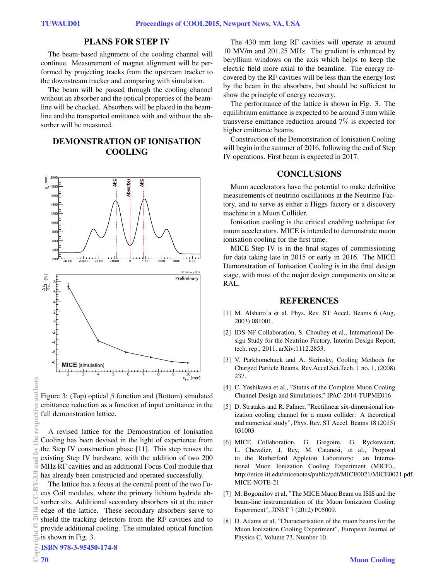### PLANS FOR STEP IV

The beam-based alignment of the cooling channel will continue. Measurement of magnet alignment will be performed by projecting tracks from the upstream tracker to the downstream tracker and comparing with simulation.

The beam will be passed through the cooling channel without an absorber and the optical properties of the beamline will be checked. Absorbers will be placed in the beamline and the transported emittance with and without the absorber will be measured.

# DEMONSTRATION OF IONISATION COOLING



Figure 3: (Top) optical  $\beta$  function and (Bottom) simulated emittance reduction as a function of input emittance in the full demonstration lattice.

A revised lattice for the Demonstration of Ionisation Cooling has been devised in the light of experience from the Step IV construction phase [11]. This step reuses the existing Step IV hardware, with the addition of two 200 MHz RF cavities and an additional Focus Coil module that has already been constructed and operated successfully.

The lattice has a focus at the central point of the two Focus Coil modules, where the primary lithium hydride absorber sits. Additional secondary absorbers sit at the outer edge of the lattice. These secondary absorbers serve to shield the tracking detectors from the RF cavities and to provide additional cooling. The simulated optical function is shown in Fig. 3.

The 430 mm long RF cavities will operate at around 10 MV/m and 201.25 MHz. The gradient is enhanced by beryllium windows on the axis which helps to keep the electric field more axial to the beamline. The energy recovered by the RF cavities will be less than the energy lost by the beam in the absorbers, but should be sufficient to show the principle of energy recovery.

The performance of the lattice is shown in Fig. 3. The equilibrium emittance is expected to be around 3 mm while transverse emittance reduction around 7% is expected for higher emittance beams.

Construction of the Demonstration of Ionisation Cooling will begin in the summer of 2016, following the end of Step IV operations. First beam is expected in 2017.

### CONCLUSIONS

Muon accelerators have the potential to make definitive measurements of neutrino oscillations at the Neutrino Factory, and to serve as either a Higgs factory or a discovery machine in a Muon Collider.

Ionisation cooling is the critical enabling technique for muon accelerators. MICE is intended to demonstrate muon ionisation cooling for the first time.

MICE Step IV is in the final stages of commissioning for data taking late in 2015 or early in 2016. The MICE Demonstration of Ionisation Cooling is in the final design stage, with most of the major design components on site at RAL.

### **REFERENCES**

- [1] M. Alsharo'a et al. Phys. Rev. ST Accel. Beams 6 (Aug, 2003) 081001.
- [2] IDS-NF Collaboration, S. Choubey et al., International Design Study for the Neutrino Factory, Interim Design Report, tech. rep., 2011. arXiv:1112.2853.
- [3] V. Parkhomchuck and A. Skrinsky, Cooling Methods for Charged Particle Beams, Rev.Accel.Sci.Tech. 1 no. 1, (2008) 237.
- [4] C. Yoshikawa et al., "Status of the Complete Muon Cooling Channel Design and Simulations," IPAC-2014-TUPME016
- [5] D. Stratakis and R. Palmer, "Rectilinear six-dimensional ionization cooling channel for a muon collider: A theoretical and numerical study", Phys. Rev. ST Accel. Beams 18 (2015) 031003
- [6] MICE Collaboration, G. Gregoire, G. Ryckewaert, L. Chevalier, J. Rey, M. Catanesi, et al., Proposal to the Rutherford Appleton Laboratory: an International Muon Ionization Cooling Experiment (MICE),. http://mice.iit.edu/micenotes/public/pdf/MICE0021/MICE0021.pdf. MICE-NOTE-21
- [7] M. Bogomilov et al, "The MICE Muon Beam on ISIS and the beam-line instrumentation of the Muon Ionization Cooling Experiment", JINST 7 (2012) P05009.
- [8] D. Adams et al, "Characterisation of the muon beams for the Muon Ionization Cooling Experiment", European Journal of Physics C, Volume 73, Number 10.